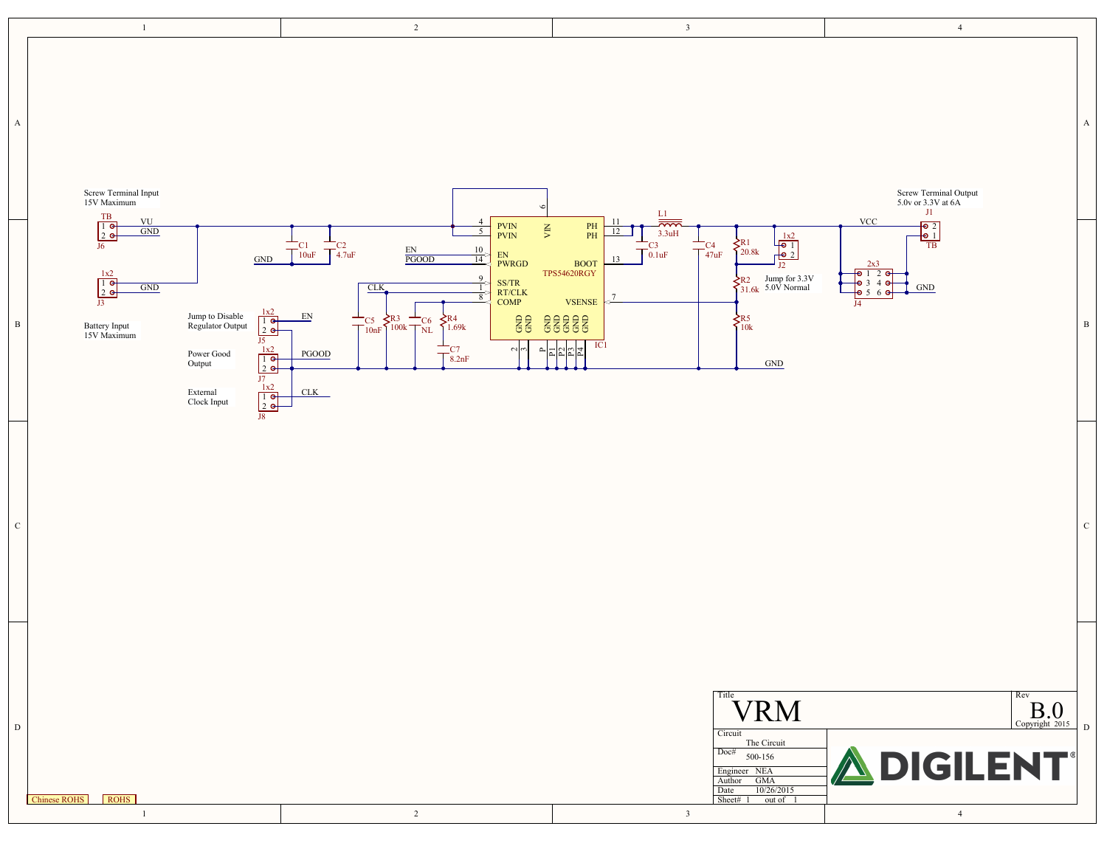